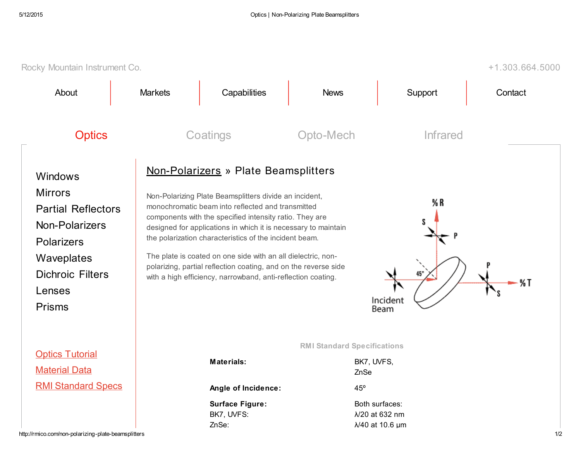| Rocky Mountain Instrument Co.<br>$+1.303.664.5000$                                                                                                                       |                                                                                                                                                                                                                                                                                                                                                                                                                                                                                                                                                                                                     |                                                                      |                                            |                                                     |         |  |
|--------------------------------------------------------------------------------------------------------------------------------------------------------------------------|-----------------------------------------------------------------------------------------------------------------------------------------------------------------------------------------------------------------------------------------------------------------------------------------------------------------------------------------------------------------------------------------------------------------------------------------------------------------------------------------------------------------------------------------------------------------------------------------------------|----------------------------------------------------------------------|--------------------------------------------|-----------------------------------------------------|---------|--|
| About                                                                                                                                                                    | <b>Markets</b>                                                                                                                                                                                                                                                                                                                                                                                                                                                                                                                                                                                      | Capabilities                                                         | <b>News</b>                                | Support                                             | Contact |  |
| <b>Optics</b>                                                                                                                                                            | Coatings                                                                                                                                                                                                                                                                                                                                                                                                                                                                                                                                                                                            |                                                                      | Opto-Mech                                  | <b>Infrared</b>                                     |         |  |
| Windows<br><b>Mirrors</b><br><b>Partial Reflectors</b><br><b>Non-Polarizers</b><br><b>Polarizers</b><br>Waveplates<br><b>Dichroic Filters</b><br>Lenses<br><b>Prisms</b> | Non-Polarizers » Plate Beamsplitters<br>Non-Polarizing Plate Beamsplitters divide an incident,<br>% R<br>monochromatic beam into reflected and transmitted<br>components with the specified intensity ratio. They are<br>S<br>designed for applications in which it is necessary to maintain<br>the polarization characteristics of the incident beam.<br>The plate is coated on one side with an all dielectric, non-<br>polarizing, partial reflection coating, and on the reverse side<br>$45^{\circ}$<br>with a high efficiency, narrowband, anti-reflection coating.<br>%T<br>Incident<br>Beam |                                                                      |                                            |                                                     |         |  |
| <b>Optics Tutorial</b><br><b>Material Data</b>                                                                                                                           |                                                                                                                                                                                                                                                                                                                                                                                                                                                                                                                                                                                                     | <b>Materials:</b>                                                    | <b>RMI Standard Specifications</b><br>ZnSe | BK7, UVFS,                                          |         |  |
| <b>RMI Standard Specs</b><br>http://rmico.com/non-polarizing-plate-beamsplitters                                                                                         |                                                                                                                                                                                                                                                                                                                                                                                                                                                                                                                                                                                                     | Angle of Incidence:<br><b>Surface Figure:</b><br>BK7, UVFS:<br>ZnSe: | 45°                                        | Both surfaces:<br>λ/20 at 632 nm<br>λ/40 at 10.6 μm | 1/2     |  |